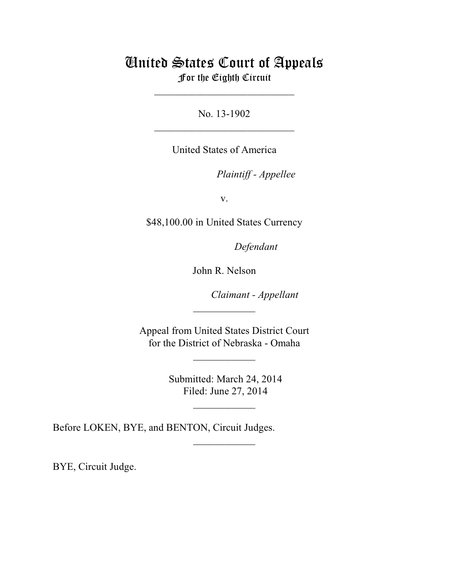## United States Court of Appeals For the Eighth Circuit

\_\_\_\_\_\_\_\_\_\_\_\_\_\_\_\_\_\_\_\_\_\_\_\_\_\_\_

No. 13-1902  $\mathcal{L}_\text{max}$  , which is a set of the set of the set of the set of the set of the set of the set of the set of the set of the set of the set of the set of the set of the set of the set of the set of the set of the set of

United States of America

Plaintiff - Appellee

v.

\$48,100.00 in United States Currency

Defendant

John R. Nelson

Claimant - Appellant

 Appeal from United States District Court for the District of Nebraska - Omaha

 $\frac{1}{2}$ 

 $\overline{\phantom{a}}$  , where  $\overline{\phantom{a}}$ 

 Submitted: March 24, 2014 Filed: June 27, 2014

 $\frac{1}{2}$ 

 $\frac{1}{2}$ 

Before LOKEN, BYE, and BENTON, Circuit Judges.

BYE, Circuit Judge.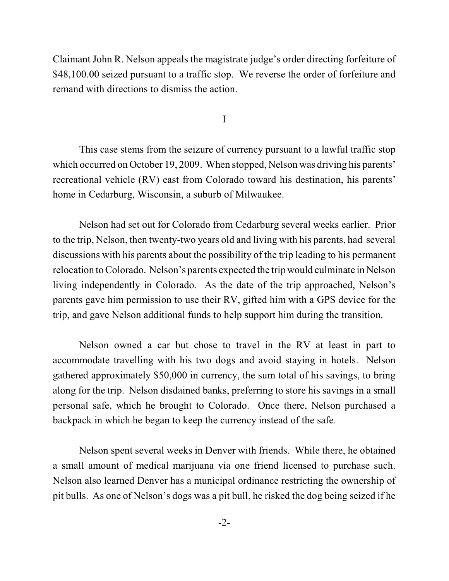Claimant John R. Nelson appeals the magistrate judge's order directing forfeiture of \$48,100.00 seized pursuant to a traffic stop. We reverse the order of forfeiture and remand with directions to dismiss the action.

I

This case stems from the seizure of currency pursuant to a lawful traffic stop which occurred on October 19, 2009. When stopped, Nelson was driving his parents' recreational vehicle (RV) east from Colorado toward his destination, his parents' home in Cedarburg, Wisconsin, a suburb of Milwaukee.

Nelson had set out for Colorado from Cedarburg several weeks earlier. Prior to the trip, Nelson, then twenty-two years old and living with his parents, had several discussions with his parents about the possibility of the trip leading to his permanent relocation toColorado. Nelson's parents expected the trip would culminate in Nelson living independently in Colorado. As the date of the trip approached, Nelson's parents gave him permission to use their RV, gifted him with a GPS device for the trip, and gave Nelson additional funds to help support him during the transition.

Nelson owned a car but chose to travel in the RV at least in part to accommodate travelling with his two dogs and avoid staying in hotels. Nelson gathered approximately \$50,000 in currency, the sum total of his savings, to bring along for the trip. Nelson disdained banks, preferring to store his savings in a small personal safe, which he brought to Colorado. Once there, Nelson purchased a backpack in which he began to keep the currency instead of the safe.

Nelson spent several weeks in Denver with friends. While there, he obtained a small amount of medical marijuana via one friend licensed to purchase such. Nelson also learned Denver has a municipal ordinance restricting the ownership of pit bulls. As one of Nelson's dogs was a pit bull, he risked the dog being seized if he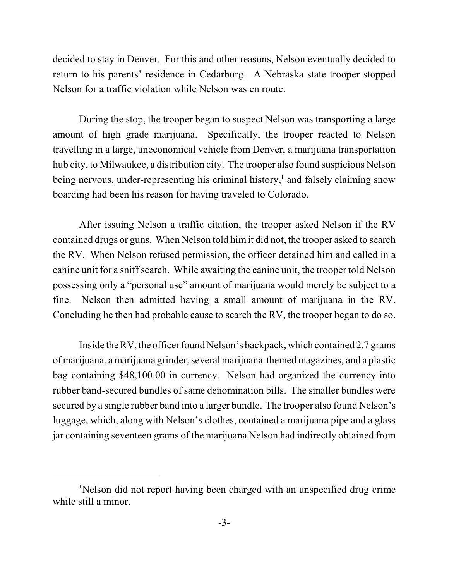decided to stay in Denver. For this and other reasons, Nelson eventually decided to return to his parents' residence in Cedarburg. A Nebraska state trooper stopped Nelson for a traffic violation while Nelson was en route.

During the stop, the trooper began to suspect Nelson was transporting a large amount of high grade marijuana. Specifically, the trooper reacted to Nelson travelling in a large, uneconomical vehicle from Denver, a marijuana transportation hub city, to Milwaukee, a distribution city. The trooper also found suspicious Nelson being nervous, under-representing his criminal history,<sup>1</sup> and falsely claiming snow boarding had been his reason for having traveled to Colorado.

After issuing Nelson a traffic citation, the trooper asked Nelson if the RV contained drugs or guns. When Nelson told himit did not, the trooper asked to search the RV. When Nelson refused permission, the officer detained him and called in a canine unit for a sniffsearch. While awaiting the canine unit, the trooper told Nelson possessing only a "personal use" amount of marijuana would merely be subject to a fine. Nelson then admitted having a small amount of marijuana in the RV. Concluding he then had probable cause to search the RV, the trooper began to do so.

Inside the RV, the officer found Nelson's backpack, which contained 2.7 grams of marijuana, a marijuana grinder, several marijuana-themed magazines, and a plastic bag containing \$48,100.00 in currency. Nelson had organized the currency into rubber band-secured bundles of same denomination bills. The smaller bundles were secured by a single rubber band into a larger bundle. The trooper also found Nelson's luggage, which, along with Nelson's clothes, contained a marijuana pipe and a glass jar containing seventeen grams of the marijuana Nelson had indirectly obtained from

<sup>&</sup>lt;sup>1</sup>Nelson did not report having been charged with an unspecified drug crime while still a minor.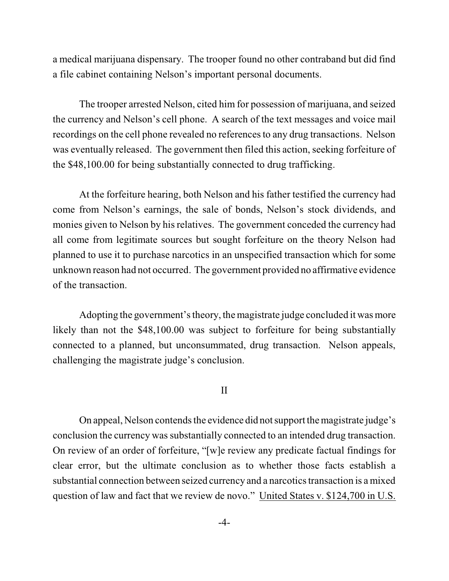a medical marijuana dispensary. The trooper found no other contraband but did find a file cabinet containing Nelson's important personal documents.

The trooper arrested Nelson, cited him for possession of marijuana, and seized the currency and Nelson's cell phone. A search of the text messages and voice mail recordings on the cell phone revealed no references to any drug transactions. Nelson was eventually released. The government then filed this action, seeking forfeiture of the \$48,100.00 for being substantially connected to drug trafficking.

At the forfeiture hearing, both Nelson and his father testified the currency had come from Nelson's earnings, the sale of bonds, Nelson's stock dividends, and monies given to Nelson by his relatives. The government conceded the currency had all come from legitimate sources but sought forfeiture on the theory Nelson had planned to use it to purchase narcotics in an unspecified transaction which for some unknown reason had not occurred. The government provided no affirmative evidence of the transaction.

Adopting the government's theory, the magistrate judge concluded it was more likely than not the \$48,100.00 was subject to forfeiture for being substantially connected to a planned, but unconsummated, drug transaction. Nelson appeals, challenging the magistrate judge's conclusion.

## II

On appeal, Nelson contends the evidence did not support the magistrate judge's conclusion the currency was substantially connected to an intended drug transaction. On review of an order of forfeiture, "[w]e review any predicate factual findings for clear error, but the ultimate conclusion as to whether those facts establish a substantial connection between seized currency and a narcotics transaction is a mixed question of law and fact that we review de novo." United States v. \$124,700 in U.S.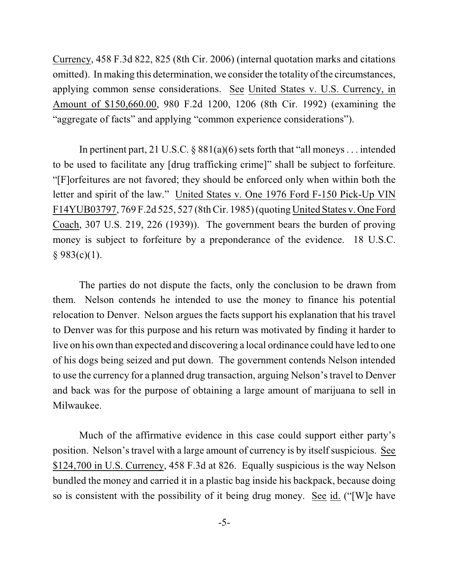Currency, 458 F.3d 822, 825 (8th Cir. 2006) (internal quotation marks and citations omitted). In making this determination, we consider the totality of the circumstances, applying common sense considerations. See United States v. U.S. Currency, in Amount of \$150,660.00, 980 F.2d 1200, 1206 (8th Cir. 1992) (examining the "aggregate of facts" and applying "common experience considerations").

In pertinent part, 21 U.S.C.  $\S$  881(a)(6) sets forth that "all moneys ... intended to be used to facilitate any [drug trafficking crime]" shall be subject to forfeiture. "[F]orfeitures are not favored; they should be enforced only when within both the letter and spirit of the law." United States v. One 1976 Ford F-150 Pick-Up VIN F14YUB03797, 769 F.2d 525, 527 (8thCir. 1985) (quoting United States v. One Ford Coach, 307 U.S. 219, 226 (1939)). The government bears the burden of proving money is subject to forfeiture by a preponderance of the evidence. 18 U.S.C.  $§ 983(c)(1).$ 

The parties do not dispute the facts, only the conclusion to be drawn from them. Nelson contends he intended to use the money to finance his potential relocation to Denver. Nelson argues the facts support his explanation that his travel to Denver was for this purpose and his return was motivated by finding it harder to live on his own than expected and discovering a local ordinance could have led to one of his dogs being seized and put down. The government contends Nelson intended to use the currency for a planned drug transaction, arguing Nelson's travel to Denver and back was for the purpose of obtaining a large amount of marijuana to sell in Milwaukee.

Much of the affirmative evidence in this case could support either party's position. Nelson's travel with a large amount of currency is by itself suspicious. See \$124,700 in U.S. Currency, 458 F.3d at 826. Equally suspicious is the way Nelson bundled the money and carried it in a plastic bag inside his backpack, because doing so is consistent with the possibility of it being drug money. See id. ("[W]e have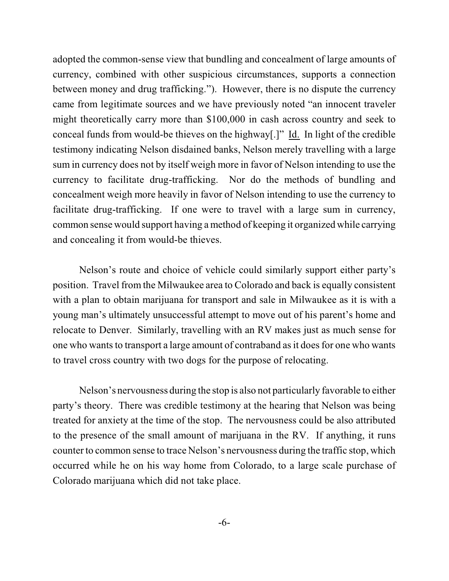adopted the common-sense view that bundling and concealment of large amounts of currency, combined with other suspicious circumstances, supports a connection between money and drug trafficking."). However, there is no dispute the currency came from legitimate sources and we have previously noted "an innocent traveler might theoretically carry more than \$100,000 in cash across country and seek to conceal funds from would-be thieves on the highway[.]" Id. In light of the credible testimony indicating Nelson disdained banks, Nelson merely travelling with a large sum in currency does not by itself weigh more in favor of Nelson intending to use the currency to facilitate drug-trafficking. Nor do the methods of bundling and concealment weigh more heavily in favor of Nelson intending to use the currency to facilitate drug-trafficking. If one were to travel with a large sum in currency, common sense would support having a method of keeping it organized while carrying and concealing it from would-be thieves.

Nelson's route and choice of vehicle could similarly support either party's position. Travel from the Milwaukee area to Colorado and back is equally consistent with a plan to obtain marijuana for transport and sale in Milwaukee as it is with a young man's ultimately unsuccessful attempt to move out of his parent's home and relocate to Denver. Similarly, travelling with an RV makes just as much sense for one who wants to transport a large amount of contraband as it does for one who wants to travel cross country with two dogs for the purpose of relocating.

Nelson's nervousness during the stop is also not particularly favorable to either party's theory. There was credible testimony at the hearing that Nelson was being treated for anxiety at the time of the stop. The nervousness could be also attributed to the presence of the small amount of marijuana in the RV. If anything, it runs counter to common sense to trace Nelson's nervousness during the traffic stop, which occurred while he on his way home from Colorado, to a large scale purchase of Colorado marijuana which did not take place.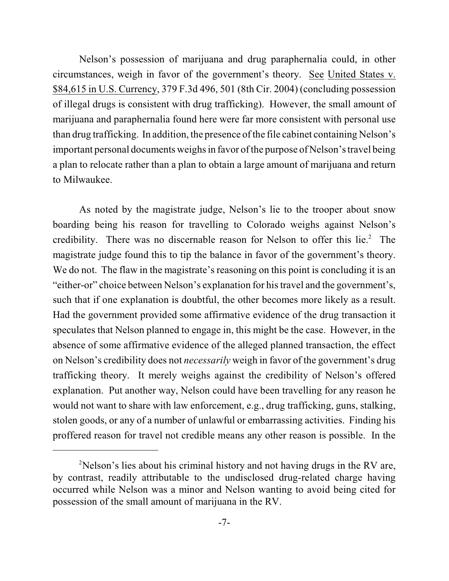Nelson's possession of marijuana and drug paraphernalia could, in other circumstances, weigh in favor of the government's theory. See United States v. \$84,615 in U.S. Currency, 379 F.3d 496, 501 (8th Cir. 2004) (concluding possession of illegal drugs is consistent with drug trafficking). However, the small amount of marijuana and paraphernalia found here were far more consistent with personal use than drug trafficking. In addition, the presence of the file cabinet containing Nelson's important personal documents weighs in favor of the purpose of Nelson's travel being a plan to relocate rather than a plan to obtain a large amount of marijuana and return to Milwaukee.

As noted by the magistrate judge, Nelson's lie to the trooper about snow boarding being his reason for travelling to Colorado weighs against Nelson's credibility. There was no discernable reason for Nelson to offer this lie.<sup>2</sup> The magistrate judge found this to tip the balance in favor of the government's theory. We do not. The flaw in the magistrate's reasoning on this point is concluding it is an "either-or" choice between Nelson's explanation for his travel and the government's, such that if one explanation is doubtful, the other becomes more likely as a result. Had the government provided some affirmative evidence of the drug transaction it speculates that Nelson planned to engage in, this might be the case. However, in the absence of some affirmative evidence of the alleged planned transaction, the effect on Nelson's credibility does not *necessarily* weigh in favor of the government's drug trafficking theory. It merely weighs against the credibility of Nelson's offered explanation. Put another way, Nelson could have been travelling for any reason he would not want to share with law enforcement, e.g., drug trafficking, guns, stalking, stolen goods, or any of a number of unlawful or embarrassing activities. Finding his proffered reason for travel not credible means any other reason is possible. In the

 $2$ Nelson's lies about his criminal history and not having drugs in the RV are, by contrast, readily attributable to the undisclosed drug-related charge having occurred while Nelson was a minor and Nelson wanting to avoid being cited for possession of the small amount of marijuana in the RV.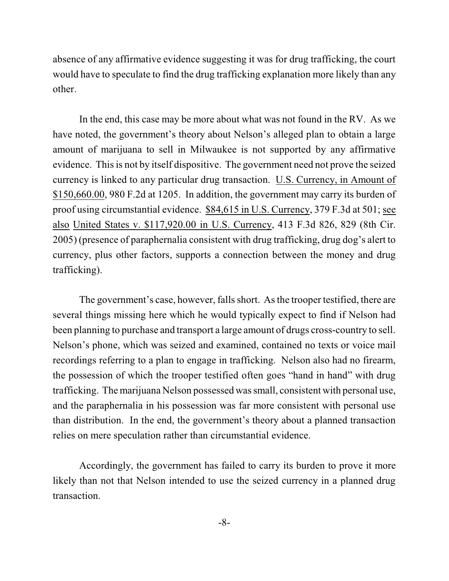absence of any affirmative evidence suggesting it was for drug trafficking, the court would have to speculate to find the drug trafficking explanation more likely than any other.

In the end, this case may be more about what was not found in the RV. As we have noted, the government's theory about Nelson's alleged plan to obtain a large amount of marijuana to sell in Milwaukee is not supported by any affirmative evidence. This is not by itself dispositive. The government need not prove the seized currency is linked to any particular drug transaction. U.S. Currency, in Amount of \$150,660.00, 980 F.2d at 1205. In addition, the government may carry its burden of proof using circumstantial evidence. \$84,615 in U.S. Currency, 379 F.3d at 501; see also United States v. \$117,920.00 in U.S. Currency, 413 F.3d 826, 829 (8th Cir. 2005) (presence of paraphernalia consistent with drug trafficking, drug dog's alert to currency, plus other factors, supports a connection between the money and drug trafficking).

The government's case, however, falls short. As the trooper testified, there are several things missing here which he would typically expect to find if Nelson had been planning to purchase and transport a large amount of drugs cross-country to sell. Nelson's phone, which was seized and examined, contained no texts or voice mail recordings referring to a plan to engage in trafficking. Nelson also had no firearm, the possession of which the trooper testified often goes "hand in hand" with drug trafficking. The marijuana Nelson possessed wassmall, consistent with personal use, and the paraphernalia in his possession was far more consistent with personal use than distribution. In the end, the government's theory about a planned transaction relies on mere speculation rather than circumstantial evidence.

Accordingly, the government has failed to carry its burden to prove it more likely than not that Nelson intended to use the seized currency in a planned drug transaction.